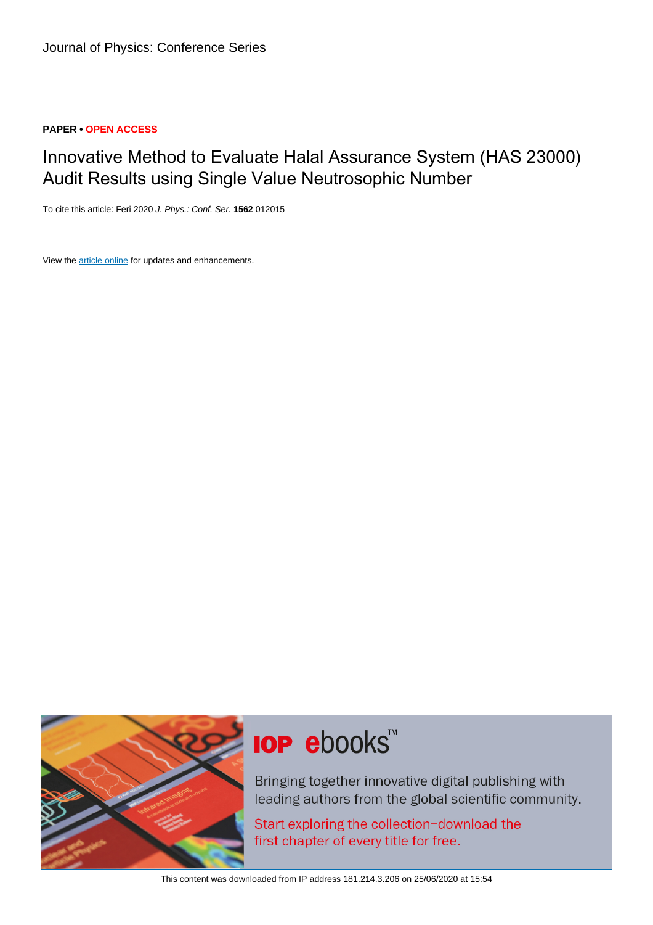# **PAPER • OPEN ACCESS**

# Innovative Method to Evaluate Halal Assurance System (HAS 23000) Audit Results using Single Value Neutrosophic Number

To cite this article: Feri 2020 J. Phys.: Conf. Ser. **1562** 012015

View the [article online](https://doi.org/10.1088/1742-6596/1562/1/012015) for updates and enhancements.



# **IOP ebooks**™

Bringing together innovative digital publishing with leading authors from the global scientific community.

Start exploring the collection-download the first chapter of every title for free.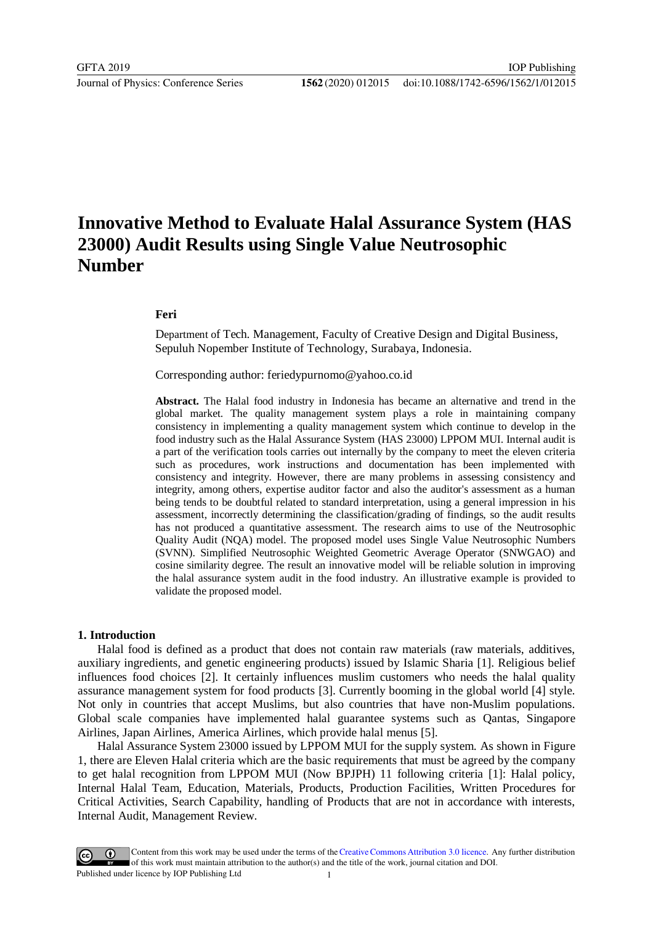# **Innovative Method to Evaluate Halal Assurance System (HAS 23000) Audit Results using Single Value Neutrosophic Number**

# **Feri**

Department of Tech. Management, Faculty of Creative Design and Digital Business, Sepuluh Nopember Institute of Technology, Surabaya, Indonesia.

Corresponding author: [feriedypurnomo@yahoo.co.id](mailto:feriedypurnomo@yahoo.co.id)

**Abstract.** The Halal food industry in Indonesia has became an alternative and trend in the global market. The quality management system plays a role in maintaining company consistency in implementing a quality management system which continue to develop in the food industry such as the Halal Assurance System (HAS 23000) LPPOM MUI. Internal audit is a part of the verification tools carries out internally by the company to meet the eleven criteria such as procedures, work instructions and documentation has been implemented with consistency and integrity. However, there are many problems in assessing consistency and integrity, among others, expertise auditor factor and also the auditor's assessment as a human being tends to be doubtful related to standard interpretation, using a general impression in his assessment, incorrectly determining the classification/grading of findings, so the audit results has not produced a quantitative assessment. The research aims to use of the Neutrosophic Quality Audit (NQA) model. The proposed model uses Single Value Neutrosophic Numbers (SVNN). Simplified Neutrosophic Weighted Geometric Average Operator (SNWGAO) and cosine similarity degree. The result an innovative model will be reliable solution in improving the halal assurance system audit in the food industry. An illustrative example is provided to validate the proposed model.

### **1. Introduction**

Halal food is defined as a product that does not contain raw materials (raw materials, additives, auxiliary ingredients, and genetic engineering products) issued by Islamic Sharia [1]. Religious belief influences food choices [2]. It certainly influences muslim customers who needs the halal quality assurance management system for food products [3]. Currently booming in the global world [4] style. Not only in countries that accept Muslims, but also countries that have non-Muslim populations. Global scale companies have implemented halal guarantee systems such as Qantas, Singapore Airlines, Japan Airlines, America Airlines, which provide halal menus [5].

Halal Assurance System 23000 issued by LPPOM MUI for the supply system. As shown in Figure 1, there are Eleven Halal criteria which are the basic requirements that must be agreed by the company to get halal recognition from LPPOM MUI (Now BPJPH) 11 following criteria [1]: Halal policy, Internal Halal Team, Education, Materials, Products, Production Facilities, Written Procedures for Critical Activities, Search Capability, handling of Products that are not in accordance with interests, Internal Audit, Management Review.

Content from this work may be used under the terms of theCreative Commons Attribution 3.0 licence. Any further distribution of this work must maintain attribution to the author(s) and the title of the work, journal citation and DOI. Published under licence by IOP Publishing Ltd 1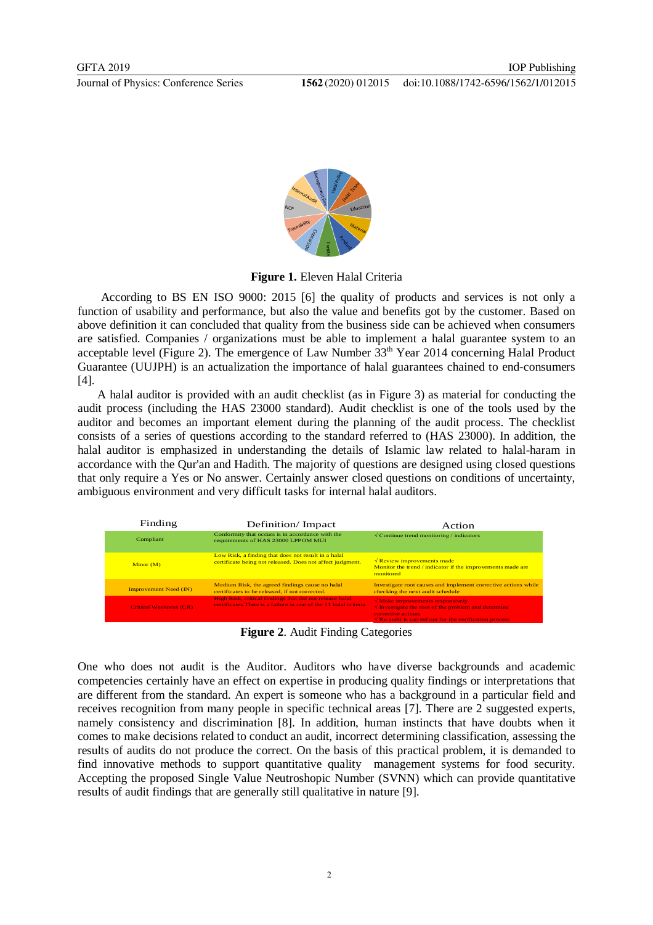

**Figure 1.** Eleven Halal Criteria

According to BS EN ISO 9000: 2015 [6] the quality of products and services is not only a function of usability and performance, but also the value and benefits got by the customer. Based on above definition it can concluded that quality from the business side can be achieved when consumers are satisfied. Companies / organizations must be able to implement a halal guarantee system to an acceptable level (Figure 2). The emergence of Law Number  $33<sup>th</sup>$  Year 2014 concerning Halal Product Guarantee (UUJPH) is an actualization the importance of halal guarantees chained to end-consumers [4].

A halal auditor is provided with an audit checklist (as in Figure 3) as material for conducting the audit process (including the HAS 23000 standard). Audit checklist is one of the tools used by the auditor and becomes an important element during the planning of the audit process. The checklist consists of a series of questions according to the standard referred to (HAS 23000). In addition, the halal auditor is emphasized in understanding the details of Islamic law related to halal-haram in accordance with the Qur'an and Hadith. The majority of questions are designed using closed questions that only require a Yes or No answer. Certainly answer closed questions on conditions of uncertainty, ambiguous environment and very difficult tasks for internal halal auditors.

| Finding                       | Definition/Impact                                                                                                           | Action                                                                                                                                                                                                                  |
|-------------------------------|-----------------------------------------------------------------------------------------------------------------------------|-------------------------------------------------------------------------------------------------------------------------------------------------------------------------------------------------------------------------|
| Compliant                     | Conformity that occurs is in accordance with the<br>requirements of HAS 23000 LPPOM MUI                                     | $\sqrt{\frac{1}{2}}$ Continue trend monitoring / indicators                                                                                                                                                             |
| Minor(M)                      | Low Risk, a finding that does not result in a halal<br>certificate being not released. Does not affect judgment.            | $\sqrt{\text{Review improvements made}}$<br>Monitor the trend / indicator if the improvements made are<br>monitored                                                                                                     |
| <b>Improvement Need (IN)</b>  | Medium Risk, the agreed findings cause no halal<br>certificates to be released, if not corrected.                           | Investigate root causes and implement corrective actions while<br>checking the next audit schedule                                                                                                                      |
| <b>Critical Weekness (CR)</b> | High Risk, critical findings that did not release halal<br>certificates. There is a failure in one of the 11 halal criteria | $\sqrt{\text{Make} \text{ improvements} \text{ respectively}}$<br>$\sqrt{\ }$ Investigate the root of the problem and determine<br>corrective actions<br>$\sqrt{Re}$ -audit is carried out for the verification process |

**Figure 2**. Audit Finding Categories

One who does not audit is the Auditor. Auditors who have diverse backgrounds and academic competencies certainly have an effect on expertise in producing quality findings or interpretations that are different from the standard. An expert is someone who has a background in a particular field and receives recognition from many people in specific technical areas [7]. There are 2 suggested experts, namely consistency and discrimination [8]. In addition, human instincts that have doubts when it comes to make decisions related to conduct an audit, incorrect determining classification, assessing the results of audits do not produce the correct. On the basis of this practical problem, it is demanded to find innovative methods to support quantitative quality management systems for food security. Accepting the proposed Single Value Neutroshopic Number (SVNN) which can provide quantitative results of audit findings that are generally still qualitative in nature [9].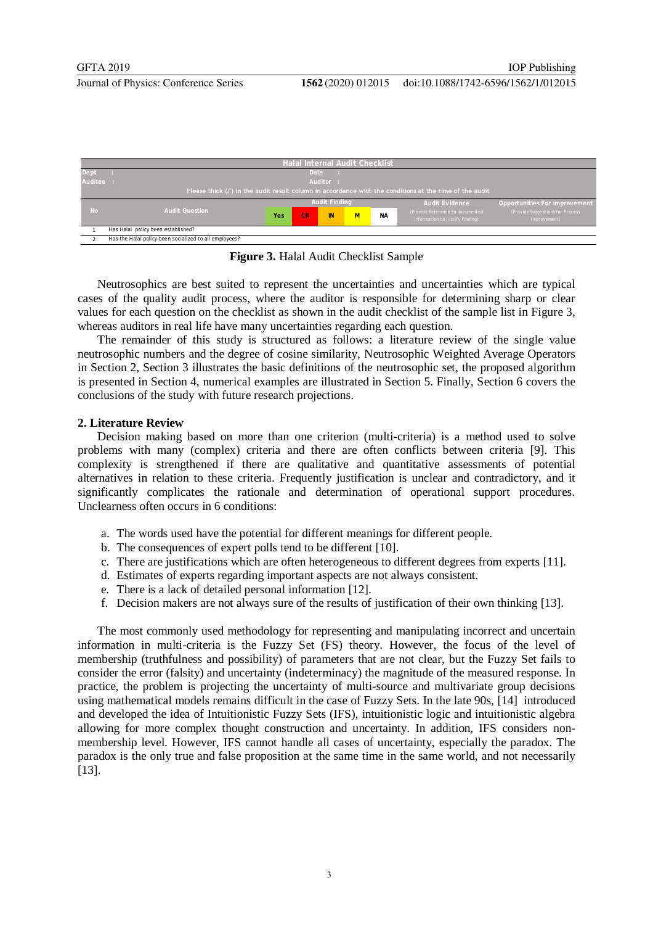doi:10.1088/1742-6596/1562/1/012015



**Figure 3.** Halal Audit Checklist Sample

Neutrosophics are best suited to represent the uncertainties and uncertainties which are typical cases of the quality audit process, where the auditor is responsible for determining sharp or clear values for each question on the checklist as shown in the audit checklist of the sample list in Figure 3, whereas auditors in real life have many uncertainties regarding each question.

The remainder of this study is structured as follows: a literature review of the single value neutrosophic numbers and the degree of cosine similarity, Neutrosophic Weighted Average Operators in Section 2, Section 3 illustrates the basic definitions of the neutrosophic set, the proposed algorithm is presented in Section 4, numerical examples are illustrated in Section 5. Finally, Section 6 covers the conclusions of the study with future research projections.

# **2. Literature Review**

Decision making based on more than one criterion (multi-criteria) is a method used to solve problems with many (complex) criteria and there are often conflicts between criteria [9]. This complexity is strengthened if there are qualitative and quantitative assessments of potential alternatives in relation to these criteria. Frequently justification is unclear and contradictory, and it significantly complicates the rationale and determination of operational support procedures. Unclearness often occurs in 6 conditions:

- a. The words used have the potential for different meanings for different people.
- b. The consequences of expert polls tend to be different [10].
- c. There are justifications which are often heterogeneous to different degrees from experts [11].
- d. Estimates of experts regarding important aspects are not always consistent.
- e. There is a lack of detailed personal information [12].
- f. Decision makers are not always sure of the results of justification of their own thinking [13].

The most commonly used methodology for representing and manipulating incorrect and uncertain information in multi-criteria is the Fuzzy Set (FS) theory. However, the focus of the level of membership (truthfulness and possibility) of parameters that are not clear, but the Fuzzy Set fails to consider the error (falsity) and uncertainty (indeterminacy) the magnitude of the measured response. In practice, the problem is projecting the uncertainty of multi-source and multivariate group decisions using mathematical models remains difficult in the case of Fuzzy Sets. In the late 90s, [14] introduced and developed the idea of Intuitionistic Fuzzy Sets (IFS), intuitionistic logic and intuitionistic algebra allowing for more complex thought construction and uncertainty. In addition, IFS considers nonmembership level. However, IFS cannot handle all cases of uncertainty, especially the paradox. The paradox is the only true and false proposition at the same time in the same world, and not necessarily [13].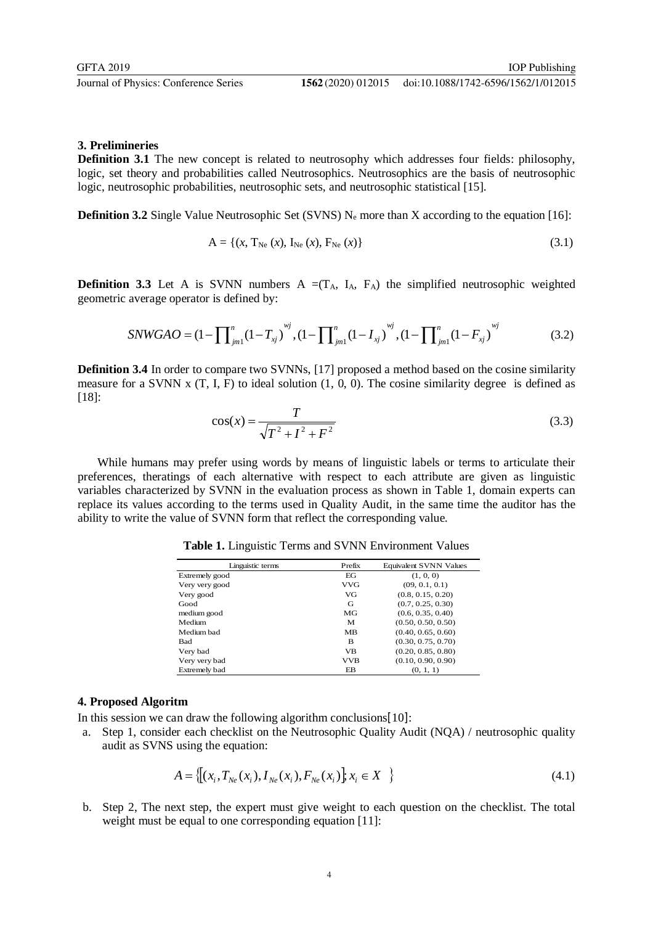# **3. Prelimineries**

**Definition 3.1** The new concept is related to neutrosophy which addresses four fields: philosophy, logic, set theory and probabilities called Neutrosophics. Neutrosophics are the basis of neutrosophic logic, neutrosophic probabilities, neutrosophic sets, and neutrosophic statistical [15].

**Definition 3.2** Single Value Neutrosophic Set (SVNS)  $N_e$  more than X according to the equation [16]:

$$
A = \{(x, T_{Ne}(x), I_{Ne}(x), F_{Ne}(x))\}
$$
(3.1)

**Definition 3.3** Let A is SVNN numbers  $A = (T_A, I_A, F_A)$  the simplified neutrosophic weighted geometric average operator is defined by:

$$
SNWGAO = (1 - \prod_{j=1}^{n} (1 - T_{xj})^{wj}, (1 - \prod_{j=1}^{n} (1 - I_{xj})^{wj}, (1 - \prod_{j=1}^{n} (1 - F_{xj})^{wj})
$$
(3.2)

**Definition 3.4** In order to compare two SVNNs, [17] proposed a method based on the cosine similarity measure for a SVNN x  $(T, I, F)$  to ideal solution  $(1, 0, 0)$ . The cosine similarity degree is defined as [18]:

$$
\cos(x) = \frac{T}{\sqrt{T^2 + I^2 + F^2}}
$$
\n(3.3)

While humans may prefer using words by means of linguistic labels or terms to articulate their preferences, theratings of each alternative with respect to each attribute are given as linguistic variables characterized by SVNN in the evaluation process as shown in Table 1, domain experts can replace its values according to the terms used in Quality Audit, in the same time the auditor has the ability to write the value of SVNN form that reflect the corresponding value.

| Linguistic terms | Prefix     | <b>Equivalent SVNN Values</b> |
|------------------|------------|-------------------------------|
| Extremely good   | ЕG         | (1, 0, 0)                     |
| Very very good   | <b>VVG</b> | (09, 0.1, 0.1)                |
| Very good        | VG         | (0.8, 0.15, 0.20)             |
| Good             | G          | (0.7, 0.25, 0.30)             |
| medium good      | МG         | (0.6, 0.35, 0.40)             |
| Medium           | М          | (0.50, 0.50, 0.50)            |
| Medium bad       | MB         | (0.40, 0.65, 0.60)            |
| <b>Bad</b>       | B          | (0.30, 0.75, 0.70)            |
| Very bad         | <b>VB</b>  | (0.20, 0.85, 0.80)            |
| Very very bad    | <b>VVB</b> | (0.10, 0.90, 0.90)            |
| Extremely bad    | EB         | (0, 1, 1)                     |

**Table 1.** Linguistic Terms and SVNN Environment Values

#### **4. Proposed Algoritm**

In this session we can draw the following algorithm conclusions [10]:

a. Step 1, consider each checklist on the Neutrosophic Quality Audit (NQA) / neutrosophic quality audit as SVNS using the equation:

$$
A = \left\{ \left[ (x_i, T_{\text{Ne}}(x_i), I_{\text{Ne}}(x_i), F_{\text{Ne}}(x_i) \right], x_i \in X \right\} \tag{4.1}
$$

b. Step 2, The next step, the expert must give weight to each question on the checklist. The total weight must be equal to one corresponding equation [11]: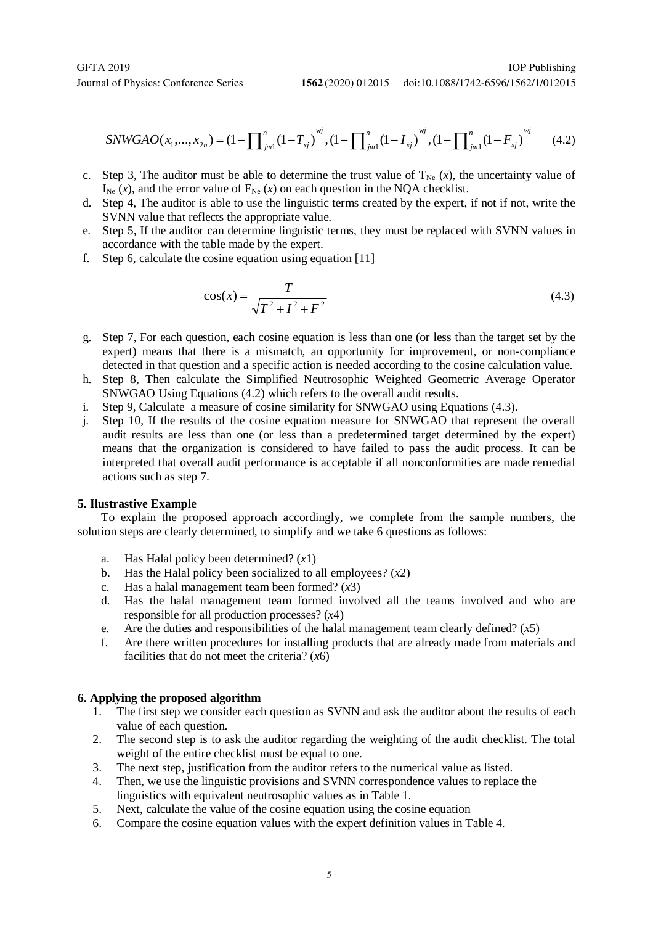#### doi:10.1088/1742-6596/1562/1/012015

$$
SNWGAO(x_1,...,x_{2n}) = (1 - \prod_{j=1}^{n} (1 - T_{xj})^{wj}, (1 - \prod_{j=1}^{n} (1 - I_{xj})^{wj}, (1 - \prod_{j=1}^{n} (1 - F_{xj})^{wj})
$$
(4.2)

- c. Step 3, The auditor must be able to determine the trust value of  $T_{Ne}$  (*x*), the uncertainty value of  $I_{Ne}$  (*x*), and the error value of  $F_{Ne}$  (*x*) on each question in the NQA checklist.
- d. Step 4, The auditor is able to use the linguistic terms created by the expert, if not if not, write the SVNN value that reflects the appropriate value.
- e. Step 5, If the auditor can determine linguistic terms, they must be replaced with SVNN values in accordance with the table made by the expert.
- f. Step 6, calculate the cosine equation using equation [11]

$$
\cos(x) = \frac{T}{\sqrt{T^2 + I^2 + F^2}}
$$
(4.3)

- g. Step 7, For each question, each cosine equation is less than one (or less than the target set by the expert) means that there is a mismatch, an opportunity for improvement, or non-compliance detected in that question and a specific action is needed according to the cosine calculation value.
- h. Step 8, Then calculate the Simplified Neutrosophic Weighted Geometric Average Operator SNWGAO Using Equations (4.2) which refers to the overall audit results.
- i. Step 9, Calculate a measure of cosine similarity for SNWGAO using Equations (4.3).
- j. Step 10, If the results of the cosine equation measure for SNWGAO that represent the overall audit results are less than one (or less than a predetermined target determined by the expert) means that the organization is considered to have failed to pass the audit process. It can be interpreted that overall audit performance is acceptable if all nonconformities are made remedial actions such as step 7.

## **5. Ilustrastive Example**

To explain the proposed approach accordingly, we complete from the sample numbers, the solution steps are clearly determined, to simplify and we take 6 questions as follows:

- a. Has Halal policy been determined? (*x*1)
- b. Has the Halal policy been socialized to all employees?  $(x2)$
- c. Has a halal management team been formed? (*x*3)
- d. Has the halal management team formed involved all the teams involved and who are responsible for all production processes? (*x*4)
- e. Are the duties and responsibilities of the halal management team clearly defined? (*x*5)
- f. Are there written procedures for installing products that are already made from materials and facilities that do not meet the criteria? (*x*6)

# **6. Applying the proposed algorithm**

- 1. The first step we consider each question as SVNN and ask the auditor about the results of each value of each question.
- 2. The second step is to ask the auditor regarding the weighting of the audit checklist. The total weight of the entire checklist must be equal to one.
- 3. The next step, justification from the auditor refers to the numerical value as listed.
- 4. Then, we use the linguistic provisions and SVNN correspondence values to replace the linguistics with equivalent neutrosophic values as in Table 1.
- 5. Next, calculate the value of the cosine equation using the cosine equation
- 6. Compare the cosine equation values with the expert definition values in Table 4.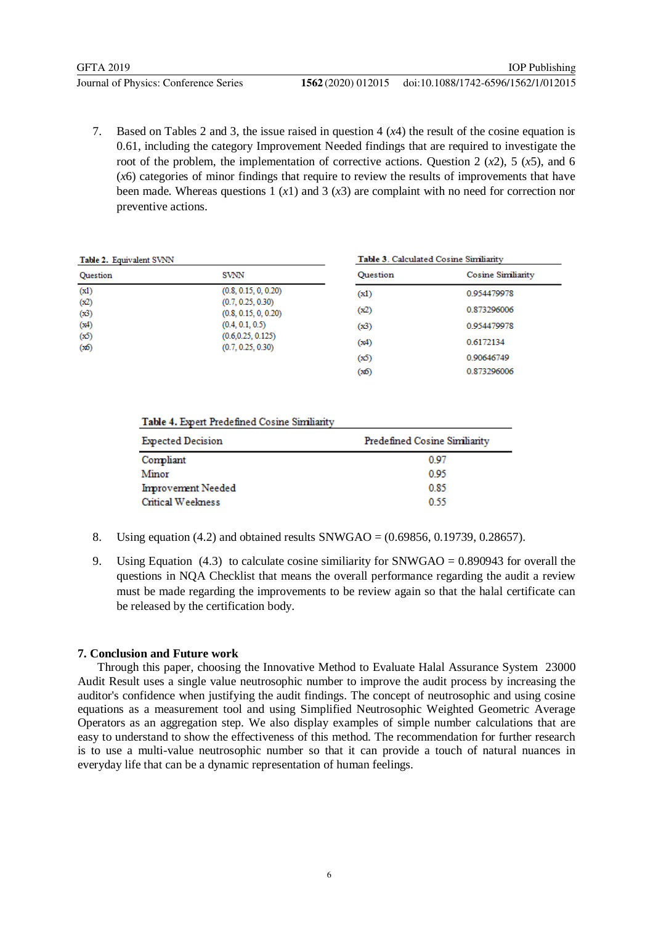7. Based on Tables 2 and 3, the issue raised in question 4 (*x*4) the result of the cosine equation is 0.61, including the category Improvement Needed findings that are required to investigate the root of the problem, the implementation of corrective actions. Question 2  $(x2)$ , 5  $(x5)$ , and 6 (*x*6) categories of minor findings that require to review the results of improvements that have been made. Whereas questions 1  $(x1)$  and 3  $(x3)$  are complaint with no need for correction nor preventive actions.

| Table 2. Equivalent SVNN |                                           | Table 3. Calculated Cosine Similiarity |                    |  |
|--------------------------|-------------------------------------------|----------------------------------------|--------------------|--|
| <b>Ouestion</b>          | SVNN                                      | <b>Ouestion</b>                        | Cosine Similiarity |  |
| (x1)                     | (0.8, 0.15, 0, 0.20)                      | (x1)                                   | 0.954479978        |  |
| (x2)<br>(x3)             | (0.7, 0.25, 0.30)<br>(0.8, 0.15, 0, 0.20) | (x2)                                   | 0.873296006        |  |
| (x4)                     | (0.4, 0.1, 0.5)                           | (x3)                                   | 0.954479978        |  |
| (x5)<br>(x6)             | (0.6, 0.25, 0.125)<br>(0.7, 0.25, 0.30)   | (x4)                                   | 0.6172134          |  |
|                          |                                           | (ත්)                                   | 0.90646749         |  |
|                          |                                           | (ක්ර)                                  | 0.873296006        |  |

# Table 4. Expert Predefined Cosine Similiarity

| <b>Expected Decision</b> | Predefined Cosine Similiarity |
|--------------------------|-------------------------------|
| Compliant                | 0.97                          |
| Minor                    | 0.95                          |
| Improvement Needed       | 0.85                          |
| Critical Weekness        | 0.55                          |

- 8. Using equation  $(4.2)$  and obtained results SNWGAO =  $(0.69856, 0.19739, 0.28657)$ .
- 9. Using Equation  $(4.3)$  to calculate cosine similiarity for SNWGAO = 0.890943 for overall the questions in NQA Checklist that means the overall performance regarding the audit a review must be made regarding the improvements to be review again so that the halal certificate can be released by the certification body.

# **7. Conclusion and Future work**

Through this paper, choosing the Innovative Method to Evaluate Halal Assurance System 23000 Audit Result uses a single value neutrosophic number to improve the audit process by increasing the auditor's confidence when justifying the audit findings. The concept of neutrosophic and using cosine equations as a measurement tool and using Simplified Neutrosophic Weighted Geometric Average Operators as an aggregation step. We also display examples of simple number calculations that are easy to understand to show the effectiveness of this method. The recommendation for further research is to use a multi-value neutrosophic number so that it can provide a touch of natural nuances in everyday life that can be a dynamic representation of human feelings.